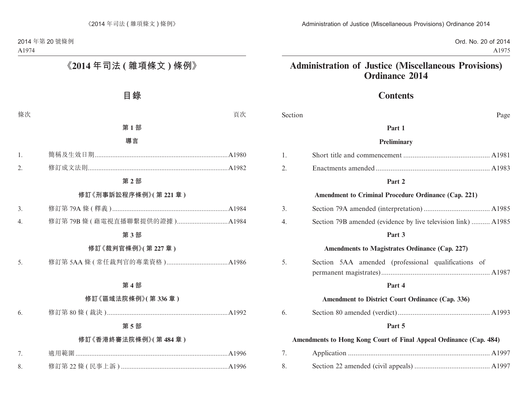Ord. No. 20 of 2014 A1975

# **Administration of Justice (Miscellaneous Provisions) Ordinance 2014**

# **Contents**

| Section | Page                                                               |
|---------|--------------------------------------------------------------------|
|         | Part 1                                                             |
|         | Preliminary                                                        |
| 1.      |                                                                    |
| 2.      |                                                                    |
|         | Part 2                                                             |
|         | <b>Amendment to Criminal Procedure Ordinance (Cap. 221)</b>        |
| 3.      |                                                                    |
| 4.      | Section 79B amended (evidence by live television link)  A1985      |
|         | Part 3                                                             |
|         | Amendments to Magistrates Ordinance (Cap. 227)                     |
| 5.      | Section 5AA amended (professional qualifications of                |
|         | Part 4                                                             |
|         | Amendment to District Court Ordinance (Cap. 336)                   |
| 6.      |                                                                    |
|         | Part 5                                                             |
|         | Amendments to Hong Kong Court of Final Appeal Ordinance (Cap. 484) |
| 7.      |                                                                    |
| 8.      |                                                                    |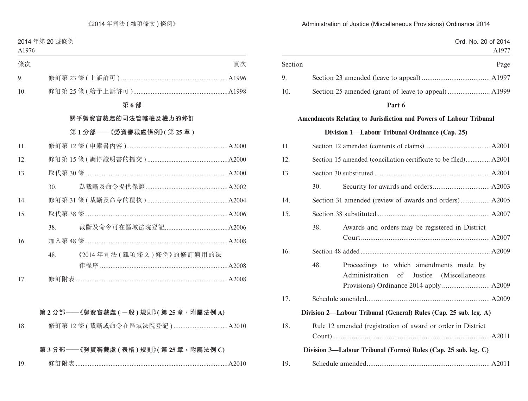|         |     |                                                                                        | Ord. No. 20 of 2014<br>A1977 |
|---------|-----|----------------------------------------------------------------------------------------|------------------------------|
| Section |     |                                                                                        | Page                         |
| 9.      |     |                                                                                        |                              |
| 10.     |     |                                                                                        |                              |
|         |     | Part 6                                                                                 |                              |
|         |     | Amendments Relating to Jurisdiction and Powers of Labour Tribunal                      |                              |
|         |     | Division 1-Labour Tribunal Ordinance (Cap. 25)                                         |                              |
| 11.     |     |                                                                                        |                              |
| 12.     |     | Section 15 amended (conciliation certificate to be filed) A2001                        |                              |
| 13.     |     |                                                                                        |                              |
|         | 30. |                                                                                        |                              |
| 14.     |     | Section 31 amended (review of awards and orders) A2005                                 |                              |
| 15.     |     |                                                                                        |                              |
|         | 38. | Awards and orders may be registered in District                                        |                              |
| 16.     |     |                                                                                        |                              |
|         | 48. | Proceedings to which amendments made by<br>Administration of<br>Justice (Miscellaneous |                              |
| 17.     |     |                                                                                        |                              |
|         |     | Division 2—Labour Tribunal (General) Rules (Cap. 25 sub. leg. A)                       |                              |
| 18.     |     | Rule 12 amended (registration of award or order in District                            |                              |
|         |     | Division 3—Labour Tribunal (Forms) Rules (Cap. 25 sub. leg. C)                         |                              |
| 19.     |     |                                                                                        |                              |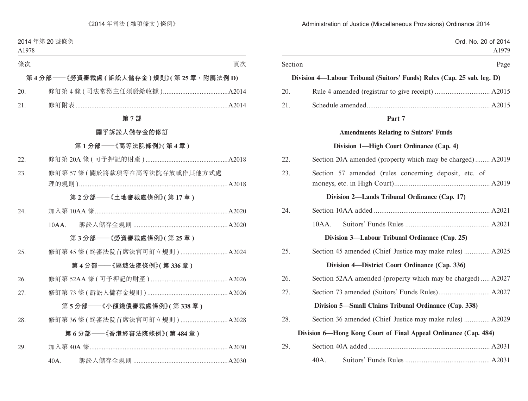|         |                                                                         | Ord. No. 20 of 2014<br>A1979 |
|---------|-------------------------------------------------------------------------|------------------------------|
| Section |                                                                         | Page                         |
|         | Division 4—Labour Tribunal (Suitors' Funds) Rules (Cap. 25 sub. leg. D) |                              |
| 20.     |                                                                         |                              |
| 21.     |                                                                         |                              |
|         | Part 7                                                                  |                              |
|         | <b>Amendments Relating to Suitors' Funds</b>                            |                              |
|         | Division 1—High Court Ordinance (Cap. 4)                                |                              |
| 22.     | Section 20A amended (property which may be charged) A2019               |                              |
| 23.     | Section 57 amended (rules concerning deposit, etc. of                   |                              |
|         | Division 2—Lands Tribunal Ordinance (Cap. 17)                           |                              |
| 24.     |                                                                         |                              |
|         | $10AA$ .                                                                |                              |
|         | Division 3—Labour Tribunal Ordinance (Cap. 25)                          |                              |
| 25.     | Section 45 amended (Chief Justice may make rules)  A2025                |                              |
|         | Division 4—District Court Ordinance (Cap. 336)                          |                              |
| 26.     | Section 52AA amended (property which may be charged) A2027              |                              |
| 27.     |                                                                         |                              |
|         | Division 5—Small Claims Tribunal Ordinance (Cap. 338)                   |                              |
| 28.     | Section 36 amended (Chief Justice may make rules)  A2029                |                              |
|         | Division 6—Hong Kong Court of Final Appeal Ordinance (Cap. 484)         |                              |
| 29.     |                                                                         |                              |
|         | 40A.                                                                    |                              |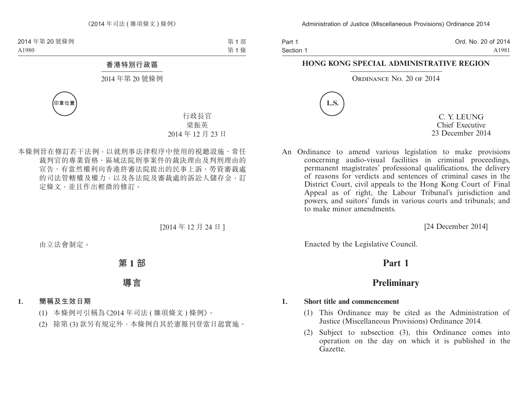| Part 1    | Ord. No. 20 of 2014 |
|-----------|---------------------|
| Section 1 | A1981               |

#### **HONG KONG SPECIAL ADMINISTRATIVE REGION**

#### ORDINANCE NO. 20 OF 2014



C. Y. LEUNG Chief Executive 23 December 2014

An Ordinance to amend various legislation to make provisions concerning audio-visual facilities in criminal proceedings, permanent magistrates' professional qualifications, the delivery of reasons for verdicts and sentences of criminal cases in the District Court, civil appeals to the Hong Kong Court of Final Appeal as of right, the Labour Tribunal's jurisdiction and powers, and suitors' funds in various courts and tribunals; and to make minor amendments.

[24 December 2014]

Enacted by the Legislative Council.

# **Part 1**

# **Preliminary**

#### **1. Short title and commencement**

- (1) This Ordinance may be cited as the Administration of Justice (Miscellaneous Provisions) Ordinance 2014.
- (2) Subject to subsection (3), this Ordinance comes into operation on the day on which it is published in the Gazette.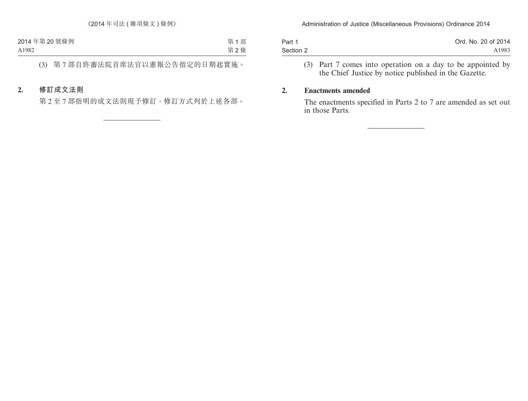| Part 1    | Ord. No. 20 of 2014 |
|-----------|---------------------|
| Section 2 | A1983               |

(3) Part 7 comes into operation on a day to be appointed by the Chief Justice by notice published in the Gazette.

#### **2. Enactments amended**

The enactments specified in Parts 2 to 7 are amended as set out in those Parts.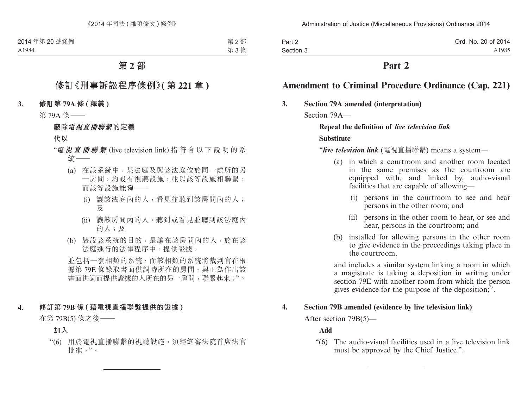| Part 2    | Ord. No. 20 of 2014 |
|-----------|---------------------|
| Section 3 | A1985               |

## **Part 2**

# **Amendment to Criminal Procedure Ordinance (Cap. 221)**

#### **3. Section 79A amended (interpretation)**

Section 79A—

#### **Repeal the definition of** *live television link*

#### **Substitute**

"*live television link* (電視直播聯繫) means a system—

- (a) in which a courtroom and another room located in the same premises as the courtroom are equipped with, and linked by, audio-visual facilities that are capable of allowing—
	- (i) persons in the courtroom to see and hear persons in the other room; and
	- (ii) persons in the other room to hear, or see and hear, persons in the courtroom; and
- (b) installed for allowing persons in the other room to give evidence in the proceedings taking place in the courtroom,

and includes a similar system linking a room in which a magistrate is taking a deposition in writing under section 79E with another room from which the person gives evidence for the purpose of the deposition;".

#### **4. Section 79B amended (evidence by live television link)**

After section 79B(5)—

#### **Add**

"(6) The audio-visual facilities used in a live television link must be approved by the Chief Justice.".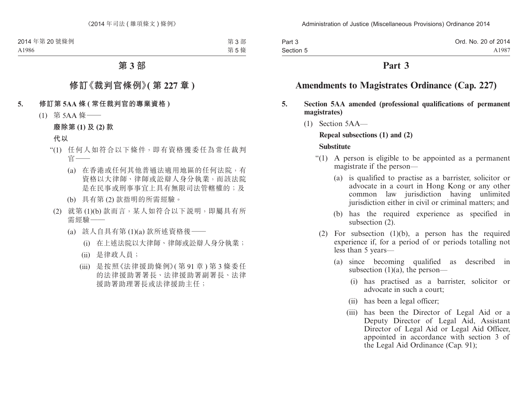| Part 3    | Ord. No. 20 of 2014 |
|-----------|---------------------|
| Section 5 | A1987               |

### **Part 3**

# **Amendments to Magistrates Ordinance (Cap. 227)**

- **5. Section 5AA amended (professional qualifications of permanent magistrates)**
	- (1) Section 5AA—

#### **Repeal subsections (1) and (2)**

#### **Substitute**

- "(1) A person is eligible to be appointed as a permanent magistrate if the person—
	- (a) is qualified to practise as a barrister, solicitor or advocate in a court in Hong Kong or any other common law jurisdiction having unlimited jurisdiction either in civil or criminal matters; and
	- (b) has the required experience as specified in subsection (2).
	- (2) For subsection (1)(b), a person has the required experience if, for a period of or periods totalling not less than 5 years—
		- (a) since becoming qualified as described in subsection  $(1)(a)$ , the person—
			- (i) has practised as a barrister, solicitor or advocate in such a court;
			- (ii) has been a legal officer;
			- (iii) has been the Director of Legal Aid or a Deputy Director of Legal Aid, Assistant Director of Legal Aid or Legal Aid Officer, appointed in accordance with section 3 of the Legal Aid Ordinance (Cap. 91);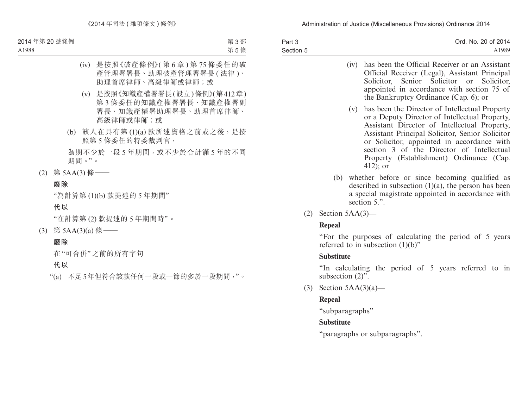| Part 3    | Ord. No. 20 of 2014 |
|-----------|---------------------|
| Section 5 | A1989               |

- (iv) has been the Official Receiver or an Assistant Official Receiver (Legal), Assistant Principal Solicitor, Senior Solicitor or Solicitor, appointed in accordance with section 75 of the Bankruptcy Ordinance (Cap. 6); or
- (v) has been the Director of Intellectual Property or a Deputy Director of Intellectual Property, Assistant Director of Intellectual Property, Assistant Principal Solicitor, Senior Solicitor or Solicitor, appointed in accordance with section 3 of the Director of Intellectual Property (Establishment) Ordinance (Cap. 412); or
- (b) whether before or since becoming qualified as described in subsection  $(1)(a)$ , the person has been a special magistrate appointed in accordance with section 5.".
- $(2)$  Section 5AA $(3)$ —

### **Repeal**

"For the purposes of calculating the period of 5 years referred to in subsection  $(1)(b)$ "

### **Substitute**

"In calculating the period of 5 years referred to in subsection  $(2)$ ".

(3) Section  $5AA(3)(a)$ —

# **Repeal**

"subparagraphs"

# **Substitute**

"paragraphs or subparagraphs".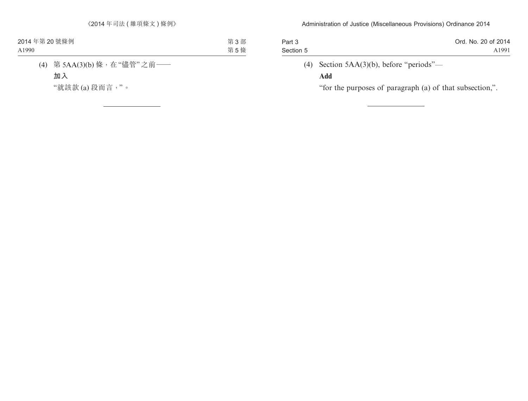| Part 3    | Ord. No. 20 of 2014 |
|-----------|---------------------|
| Section 5 | A1991               |
|           |                     |

# (4) Section 5AA(3)(b), before "periods"—

### **Add**

"for the purposes of paragraph (a) of that subsection,".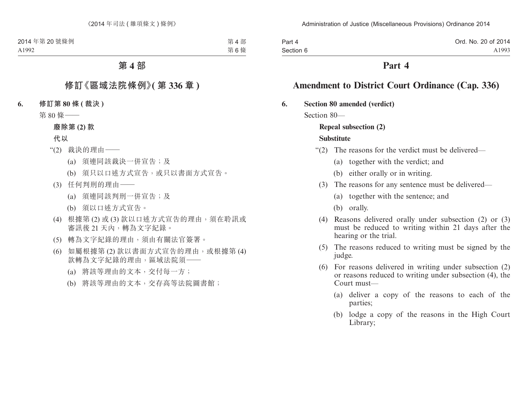| Part 4    | Ord. No. 20 of 2014 |
|-----------|---------------------|
| Section 6 | A1993               |

### **Part 4**

# **Amendment to District Court Ordinance (Cap. 336)**

#### **6. Section 80 amended (verdict)**

Section 80—

### **Repeal subsection (2)**

#### **Substitute**

- "(2) The reasons for the verdict must be delivered—
	- (a) together with the verdict; and
	- (b) either orally or in writing.
	- (3) The reasons for any sentence must be delivered—
		- (a) together with the sentence; and
		- (b) orally.
	- (4) Reasons delivered orally under subsection (2) or (3) must be reduced to writing within 21 days after the hearing or the trial.
	- (5) The reasons reduced to writing must be signed by the judge.
	- (6) For reasons delivered in writing under subsection (2) or reasons reduced to writing under subsection (4), the Court must—
		- (a) deliver a copy of the reasons to each of the parties;
		- (b) lodge a copy of the reasons in the High Court Library;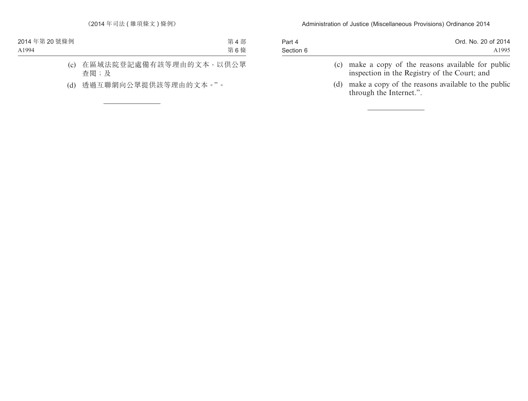| Part 4    | Ord. No. 20 of 2014 |
|-----------|---------------------|
| Section 6 | A1995               |
|           |                     |

- (c) make a copy of the reasons available for public inspection in the Registry of the Court; and
- (d) make a copy of the reasons available to the public through the Internet.".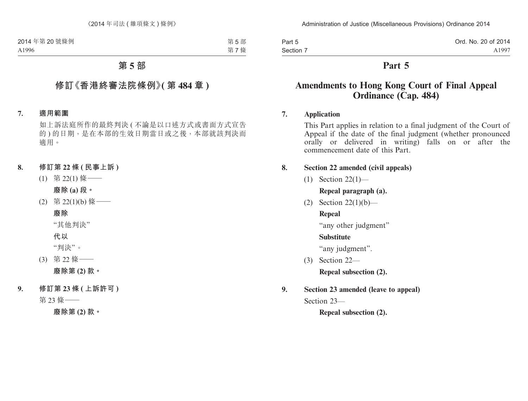| Part 5    | Ord. No. 20 of 2014 |
|-----------|---------------------|
| Section 7 | A1997               |

### **Part 5**

# **Amendments to Hong Kong Court of Final Appeal Ordinance (Cap. 484)**

#### **7. Application**

This Part applies in relation to a final judgment of the Court of Appeal if the date of the final judgment (whether pronounced orally or delivered in writing) falls on or after the commencement date of this Part.

### **8. Section 22 amended (civil appeals)**

(1) Section 22(1)—

**Repeal paragraph (a).**

(2) Section 22(1)(b)—

### **Repeal**

"any other judgment"

### **Substitute**

"any judgment".

(3) Section 22—

**Repeal subsection (2).**

**9. Section 23 amended (leave to appeal)**

Section 23—

**Repeal subsection (2).**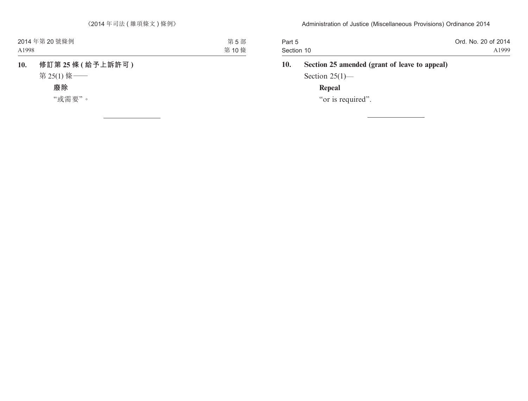| Part 5     | Ord. No. 20 of 2014 |
|------------|---------------------|
| Section 10 | A1999               |

# **10. Section 25 amended (grant of leave to appeal)**

Section  $25(1)$ —

### **Repeal**

"or is required".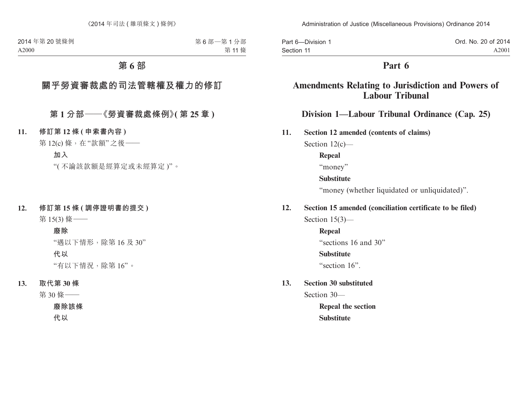| Part 6-Division 1 | Ord. No. 20 of 2014 |
|-------------------|---------------------|
| Section 11        | A2001               |

# **Part 6**

# **Amendments Relating to Jurisdiction and Powers of Labour Tribunal**

### **Division 1—Labour Tribunal Ordinance (Cap. 25)**

Section 12(c)—

**Repeal**

"money"

#### **Substitute**

"money (whether liquidated or unliquidated)".

### **12. Section 15 amended (conciliation certificate to be filed)**

Section 15(3)—

**Repeal** "sections 16 and 30"

#### **Substitute**

"section 16".

### **13. Section 30 substituted**

Section 30—

**Repeal the section Substitute**

**<sup>11.</sup> Section 12 amended (contents of claims)**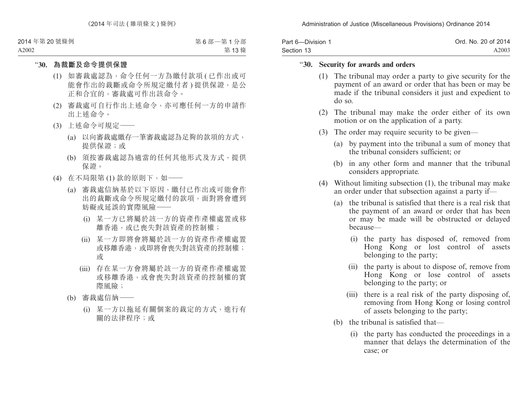| Part 6-Division 1 | Ord. No. 20 of 2014 |
|-------------------|---------------------|
| Section 13        | A2003               |

#### "**30. Security for awards and orders**

- (1) The tribunal may order a party to give security for the payment of an award or order that has been or may be made if the tribunal considers it just and expedient to do so.
- (2) The tribunal may make the order either of its own motion or on the application of a party.
- (3) The order may require security to be given—
	- (a) by payment into the tribunal a sum of money that the tribunal considers sufficient; or
	- (b) in any other form and manner that the tribunal considers appropriate.
- (4) Without limiting subsection (1), the tribunal may make an order under that subsection against a party if—
	- (a) the tribunal is satisfied that there is a real risk that the payment of an award or order that has been or may be made will be obstructed or delayed because—
		- (i) the party has disposed of, removed from Hong Kong or lost control of assets belonging to the party;
		- (ii) the party is about to dispose of, remove from Hong Kong or lose control of assets belonging to the party; or
		- (iii) there is a real risk of the party disposing of, removing from Hong Kong or losing control of assets belonging to the party;
	- (b) the tribunal is satisfied that—
		- (i) the party has conducted the proceedings in a manner that delays the determination of the case; or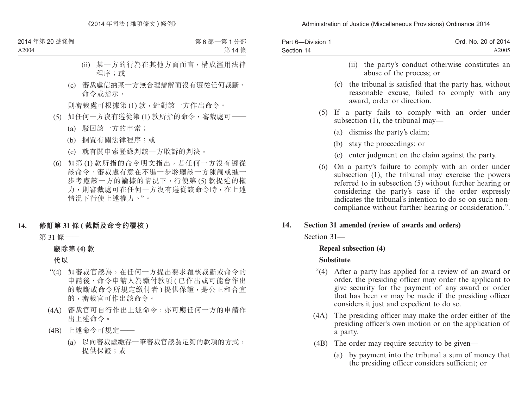| Part 6-Division 1<br>Section 14 | Ord. No. 20 of 2014<br>A2005                                                                                                                                                                                                                                                                                                                            |
|---------------------------------|---------------------------------------------------------------------------------------------------------------------------------------------------------------------------------------------------------------------------------------------------------------------------------------------------------------------------------------------------------|
|                                 | the party's conduct otherwise constitutes an<br>(i)<br>abuse of the process; or                                                                                                                                                                                                                                                                         |
|                                 | (c) the tribunal is satisfied that the party has, without<br>reasonable excuse, failed to comply with any<br>award, order or direction.                                                                                                                                                                                                                 |
| (5)                             | If a party fails to comply with an order under<br>subsection $(1)$ , the tribunal may—                                                                                                                                                                                                                                                                  |
|                                 | (a) dismiss the party's claim;                                                                                                                                                                                                                                                                                                                          |
|                                 | (b) stay the proceedings; or                                                                                                                                                                                                                                                                                                                            |
|                                 | (c) enter judgment on the claim against the party.                                                                                                                                                                                                                                                                                                      |
|                                 | (6) On a party's failure to comply with an order under<br>subsection (1), the tribunal may exercise the powers<br>referred to in subsection (5) without further hearing or<br>considering the party's case if the order expressly<br>indicates the tribunal's intention to do so on such non-<br>compliance without further hearing or consideration.". |
| 14.                             | Section 31 amended (review of awards and orders)                                                                                                                                                                                                                                                                                                        |
| Section 31-                     |                                                                                                                                                                                                                                                                                                                                                         |

#### **Repeal subsection (4)**

### **Substitute**

- "(4) After a party has applied for a review of an award or order, the presiding officer may order the applicant to give security for the payment of any award or order that has been or may be made if the presiding officer considers it just and expedient to do so.
- (4A) The presiding officer may make the order either of the presiding officer's own motion or on the application of a party.
- (4B) The order may require security to be given—
	- (a) by payment into the tribunal a sum of money that the presiding officer considers sufficient; or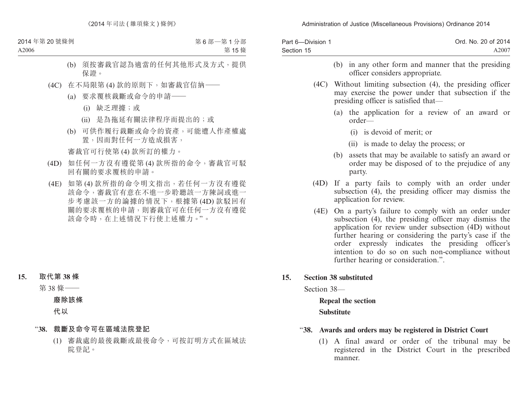| Part 6-Division 1 | Ord. No. 20 of 2014 |
|-------------------|---------------------|
| Section 15        | A2007               |

| (b) in any other form and manner that the presiding<br>officer considers appropriate.                                                                                                                                                                                                                                                                                               |  |  |
|-------------------------------------------------------------------------------------------------------------------------------------------------------------------------------------------------------------------------------------------------------------------------------------------------------------------------------------------------------------------------------------|--|--|
| (4C) Without limiting subsection (4), the presiding officer<br>may exercise the power under that subsection if the<br>presiding officer is satisfied that—                                                                                                                                                                                                                          |  |  |
| (a) the application for a review of an award or<br>$order-$                                                                                                                                                                                                                                                                                                                         |  |  |
| (i) is devoid of merit; or                                                                                                                                                                                                                                                                                                                                                          |  |  |
| (ii) is made to delay the process; or                                                                                                                                                                                                                                                                                                                                               |  |  |
| (b) assets that may be available to satisfy an award or<br>order may be disposed of to the prejudice of any<br>party.                                                                                                                                                                                                                                                               |  |  |
| (4D) If a party fails to comply with an order under<br>subsection (4), the presiding officer may dismiss the<br>application for review.                                                                                                                                                                                                                                             |  |  |
| (4E) On a party's failure to comply with an order under<br>subsection (4), the presiding officer may dismiss the<br>application for review under subsection (4D) without<br>further hearing or considering the party's case if the<br>order expressly indicates the presiding officer's<br>intention to do so on such non-compliance without<br>further hearing or consideration.". |  |  |

**15. Section 38 substituted**

Section 38—

**Repeal the section Substitute**

#### "**38. Awards and orders may be registered in District Court**

(1) A final award or order of the tribunal may be registered in the District Court in the prescribed manner.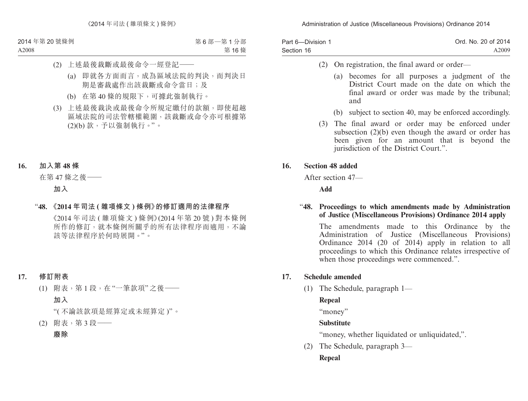| Part 6-Division 1 | Ord. No. 20 of 2014 |
|-------------------|---------------------|
| Section 16        | A2009               |

- (2) On registration, the final award or order—
	- (a) becomes for all purposes a judgment of the District Court made on the date on which the final award or order was made by the tribunal; and
	- (b) subject to section 40, may be enforced accordingly.
- (3) The final award or order may be enforced under subsection (2)(b) even though the award or order has been given for an amount that is beyond the jurisdiction of the District Court.".

#### **16. Section 48 added**

After section 47—

**Add**

#### "**48. Proceedings to which amendments made by Administration of Justice (Miscellaneous Provisions) Ordinance 2014 apply**

The amendments made to this Ordinance by the Administration of Justice (Miscellaneous Provisions) Ordinance 2014 (20 of 2014) apply in relation to all proceedings to which this Ordinance relates irrespective of when those proceedings were commenced.".

#### **17. Schedule amended**

(1) The Schedule, paragraph 1—

### **Repeal**

"money"

#### **Substitute**

"money, whether liquidated or unliquidated,".

(2) The Schedule, paragraph 3—

### **Repeal**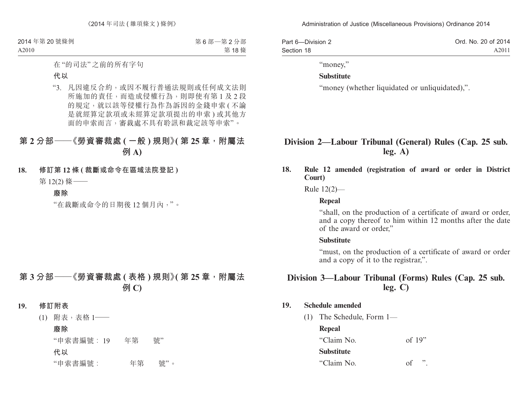| Part 6-Division 2 | Ord. No. 20 of 2014 |
|-------------------|---------------------|
| Section 18        | A2011               |

"money,"

#### **Substitute**

"money (whether liquidated or unliquidated),".

### **Division 2—Labour Tribunal (General) Rules (Cap. 25 sub. leg. A)**

**18. Rule 12 amended (registration of award or order in District Court)**

Rule 12(2)—

#### **Repeal**

"shall, on the production of a certificate of award or order, and a copy thereof to him within 12 months after the date of the award or order,"

#### **Substitute**

"must, on the production of a certificate of award or order and a copy of it to the registrar,".

### **Division 3—Labour Tribunal (Forms) Rules (Cap. 25 sub. leg. C)**

#### **19. Schedule amended**

(1) The Schedule, Form 1—

#### **Repeal**

"Claim No. of 19" **Substitute** "Claim No. of ".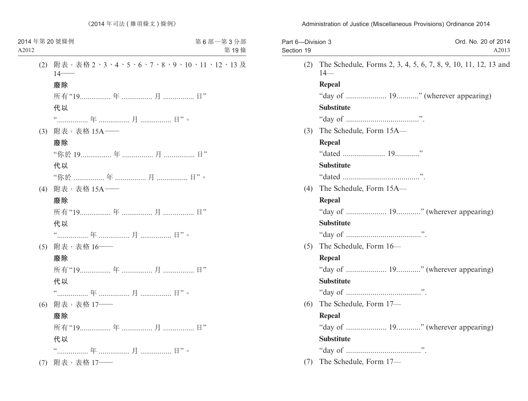| Part 6-Division 3<br>Section 19 | Ord. No. 20 of 2014<br>A2013                                            |
|---------------------------------|-------------------------------------------------------------------------|
| (2)                             | The Schedule, Forms 2, 3, 4, 5, 6, 7, 8, 9, 10, 11, 12, 13 and<br>$14-$ |
|                                 | Repeal                                                                  |
|                                 |                                                                         |
|                                 | <b>Substitute</b>                                                       |
|                                 |                                                                         |
| (3)                             | The Schedule, Form 15A-                                                 |
|                                 | Repeal                                                                  |
|                                 |                                                                         |
|                                 | <b>Substitute</b>                                                       |
|                                 |                                                                         |
| (4)                             | The Schedule, Form 15A-                                                 |
|                                 | Repeal                                                                  |
|                                 |                                                                         |
|                                 | <b>Substitute</b>                                                       |
|                                 |                                                                         |
| (5)                             | The Schedule, Form 16-                                                  |
|                                 | Repeal                                                                  |
|                                 |                                                                         |
|                                 | <b>Substitute</b>                                                       |
|                                 |                                                                         |
| (6)                             | The Schedule, Form 17-                                                  |
|                                 | Repeal                                                                  |
|                                 | "day of  19" (wherever appearing)                                       |
|                                 | <b>Substitute</b>                                                       |
|                                 |                                                                         |
| (7)                             | The Schedule, Form 17-                                                  |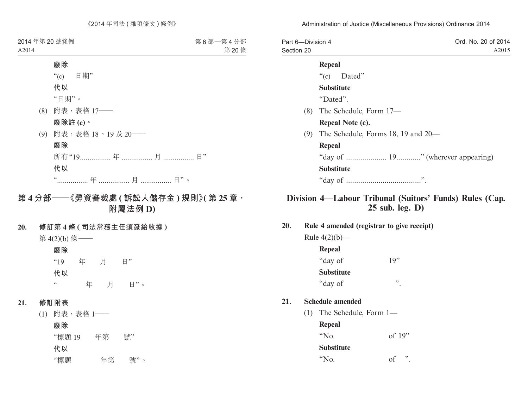| Part 6-Division 4 |                                    | Ord. No. 20 of 2014 |
|-------------------|------------------------------------|---------------------|
| Section 20        |                                    | A2015               |
|                   | Repeal                             |                     |
|                   | "(c) Dated"                        |                     |
|                   | <b>Substitute</b>                  |                     |
|                   | "Dated".                           |                     |
| (8)               | The Schedule, Form 17-             |                     |
|                   | Repeal Note (c).                   |                     |
| (9)               | The Schedule, Forms 18, 19 and 20— |                     |
|                   | Repeal                             |                     |
|                   | "day of  19" (wherever appearing)  |                     |
|                   | <b>Substitute</b>                  |                     |
|                   |                                    |                     |
|                   |                                    |                     |

# **Division 4—Labour Tribunal (Suitors' Funds) Rules (Cap. 25 sub. leg. D)**

**20. Rule 4 amended (registrar to give receipt)**

Rule  $4(2)(b)$ — **Repeal**

| "day of           | 19" |
|-------------------|-----|
| <b>Substitute</b> |     |
| "day of           | ,,  |

#### **21. Schedule amended**

(1) The Schedule, Form 1—

**Repeal**

"No. of 19"

**Substitute**

"No. of ".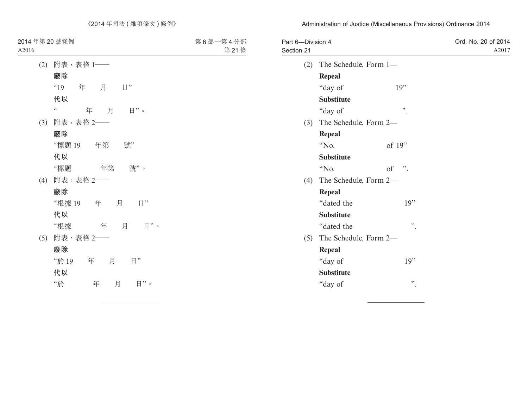| Part 6-Division 4<br>Section 21 |                       |                              | Ord. No. 20 of 2014<br>A2017 |
|---------------------------------|-----------------------|------------------------------|------------------------------|
| (2)                             | The Schedule, Form 1- |                              |                              |
|                                 | <b>Repeal</b>         |                              |                              |
|                                 | "day of               | 19"                          |                              |
|                                 | <b>Substitute</b>     |                              |                              |
|                                 | "day of               | $\ddot{\phantom{0}}$ .       |                              |
| (3)                             | The Schedule, Form 2- |                              |                              |
|                                 | <b>Repeal</b>         |                              |                              |
|                                 | "No.                  | of 19"                       |                              |
|                                 | <b>Substitute</b>     |                              |                              |
|                                 | "No.                  | $\ddot{\phantom{0}}$ :<br>of |                              |
| (4)                             | The Schedule, Form 2- |                              |                              |
|                                 | Repeal                |                              |                              |
|                                 | "dated the            | 19"                          |                              |
|                                 | <b>Substitute</b>     |                              |                              |
|                                 | "dated the            | ,,                           |                              |
| (5)                             | The Schedule, Form 2- |                              |                              |
|                                 | Repeal                |                              |                              |
|                                 | "day of               | 19"                          |                              |
|                                 | <b>Substitute</b>     |                              |                              |
|                                 | "day of               | ,,                           |                              |
|                                 |                       |                              |                              |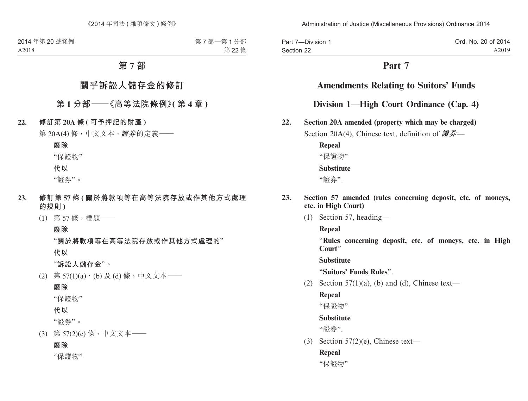Part 7—Division 1 Section 22 Ord. No. 20 of 2014 A2019

# **Part 7**

### **Amendments Relating to Suitors' Funds**

### **Division 1—High Court Ordinance (Cap. 4)**

**22. Section 20A amended (property which may be charged)**

Section 20A(4), Chinese text, definition of **證券**—

**Repeal** "保證物" **Substitute**

#### "證券".

#### **23. Section 57 amended (rules concerning deposit, etc. of moneys, etc. in High Court)**

(1) Section 57, heading—

**Repeal**

"**Rules concerning deposit, etc. of moneys, etc. in High Court**"

**Substitute**

"**Suitors' Funds Rules**".

(2) Section  $57(1)(a)$ , (b) and (d), Chinese text—

#### **Repeal**

"保證物"

#### **Substitute**

"證券".

(3) Section  $57(2)$ (e), Chinese text—

### **Repeal**

"保證物"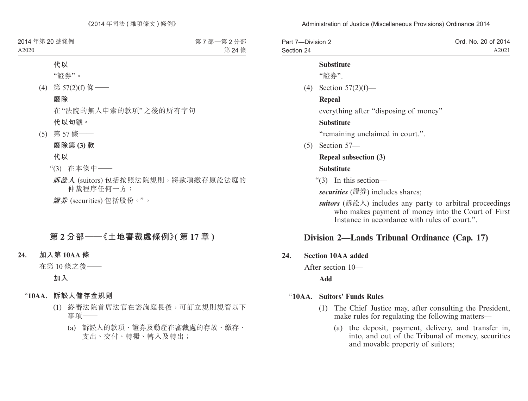| Part 7-Division 2 | Ord. No. 20 of 2014 |
|-------------------|---------------------|
| Section 24        | A2021               |

#### **Substitute**

"證券".

(4) Section 57(2)(f)—

#### **Repeal**

everything after "disposing of money"

#### **Substitute**

"remaining unclaimed in court.".

(5) Section 57—

# **Repeal subsection (3)**

#### **Substitute**

"(3) In this section—

*securities* (證券) includes shares;

*suitors* (訴訟人) includes any party to arbitral proceedings who makes payment of money into the Court of First Instance in accordance with rules of court."

### **Division 2—Lands Tribunal Ordinance (Cap. 17)**

#### **24. Section 10AA added**

After section 10—

**Add**

#### "**10AA. Suitors' Funds Rules**

- (1) The Chief Justice may, after consulting the President, make rules for regulating the following matters—
	- (a) the deposit, payment, delivery, and transfer in, into, and out of the Tribunal of money, securities and movable property of suitors;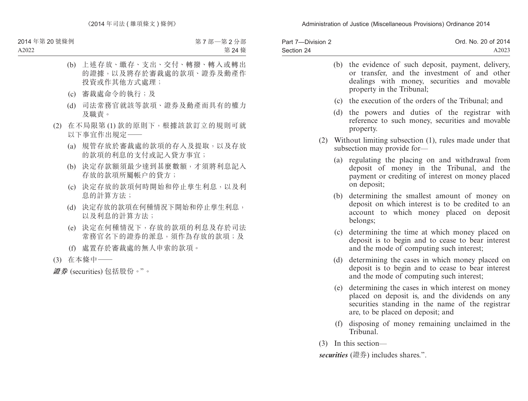| Part 7-Division 2 | Ord. No. 20 of 2014 |
|-------------------|---------------------|
| Section 24        | A2023               |

|     | (b) the evidence of such deposit, payment, delivery,<br>or transfer, and the investment of and other<br>dealings with money, securities and movable<br>property in the Tribunal; |
|-----|----------------------------------------------------------------------------------------------------------------------------------------------------------------------------------|
| (c) | the execution of the orders of the Tribunal; and                                                                                                                                 |
| (d) | the powers and duties of the registrar with<br>reference to such money, securities and movable<br>property.                                                                      |
|     | (2) Without limiting subsection (1), rules made under that<br>subsection may provide for-                                                                                        |
|     | (a) regulating the placing on and withdrawal from<br>deposit of money in the Tribunal, and the<br>payment or crediting of interest on money placed<br>on deposit;                |
| (b) | determining the smallest amount of money on<br>deposit on which interest is to be credited to an<br>account to which money placed on deposit<br>belongs;                         |
| (c) | determining the time at which money placed on<br>deposit is to begin and to cease to bear interest<br>and the mode of computing such interest;                                   |
| (d) | determining the cases in which money placed on<br>deposit is to begin and to cease to bear interest<br>and the mode of computing such interest;                                  |
| (e) | determining the cases in which interest on money<br>placed on deposit is and the dividends on any                                                                                |

- placed on deposit is, and the dividends on any securities standing in the name of the registrar are, to be placed on deposit; and
- (f) disposing of money remaining unclaimed in the Tribunal.
- (3) In this section—

*securities* (證券) includes shares.".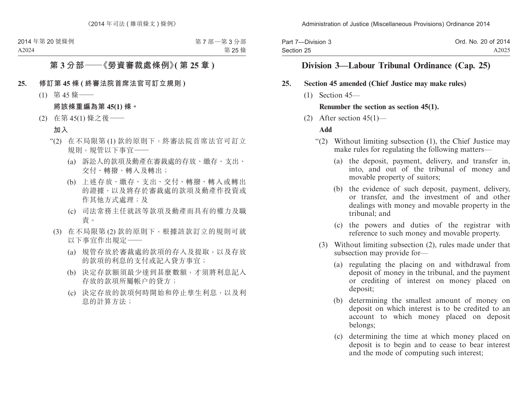| Part 7-Division 3 | Ord. No. 20 of 2014 |
|-------------------|---------------------|
| Section 25        | A2025               |

### **Division 3—Labour Tribunal Ordinance (Cap. 25)**

#### **25. Section 45 amended (Chief Justice may make rules)**

(1) Section 45—

#### **Renumber the section as section 45(1).**

(2) After section  $45(1)$ —

#### **Add**

- "(2) Without limiting subsection (1), the Chief Justice may make rules for regulating the following matters—
	- (a) the deposit, payment, delivery, and transfer in, into, and out of the tribunal of money and movable property of suitors;
	- (b) the evidence of such deposit, payment, delivery, or transfer, and the investment of and other dealings with money and movable property in the tribunal; and
	- (c) the powers and duties of the registrar with reference to such money and movable property.
	- (3) Without limiting subsection (2), rules made under that subsection may provide for—
		- (a) regulating the placing on and withdrawal from deposit of money in the tribunal, and the payment or crediting of interest on money placed on deposit;
		- (b) determining the smallest amount of money on deposit on which interest is to be credited to an account to which money placed on deposit belongs;
		- (c) determining the time at which money placed on deposit is to begin and to cease to bear interest and the mode of computing such interest;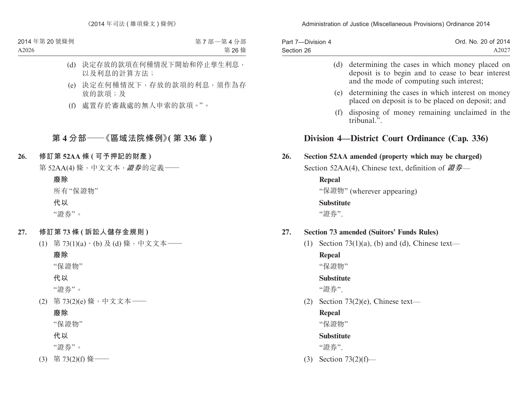| Part 7-Division 4 | Ord. No. 20 of 2014 |
|-------------------|---------------------|
| Section 26        | A2027               |

|     |     |                   | (d) determining the cases in which money placed on<br>deposit is to begin and to cease to bear interest<br>and the mode of computing such interest; |
|-----|-----|-------------------|-----------------------------------------------------------------------------------------------------------------------------------------------------|
|     |     | (e)               | determining the cases in which interest on money<br>placed on deposit is to be placed on deposit; and                                               |
|     |     | (f)               | disposing of money remaining unclaimed in the<br>tribunal.".                                                                                        |
|     |     |                   | Division 4—District Court Ordinance (Cap. 336)                                                                                                      |
| 26. |     |                   | Section 52AA amended (property which may be charged)                                                                                                |
|     |     |                   | Section 52AA(4), Chinese text, definition of 證券—                                                                                                    |
|     |     | Repeal            |                                                                                                                                                     |
|     |     |                   | "保證物" (wherever appearing)                                                                                                                          |
|     |     | <b>Substitute</b> |                                                                                                                                                     |
|     |     | "證券".             |                                                                                                                                                     |
| 27. |     |                   | <b>Section 73 amended (Suitors' Funds Rules)</b>                                                                                                    |
|     | (1) |                   | Section 73(1)(a), (b) and (d), Chinese text—                                                                                                        |
|     |     | Repeal            |                                                                                                                                                     |
|     |     | "保證物"             |                                                                                                                                                     |
|     |     | <b>Substitute</b> |                                                                                                                                                     |
|     |     | "證券".             |                                                                                                                                                     |
|     | (2) |                   | Section $73(2)(e)$ , Chinese text-                                                                                                                  |
|     |     | Repeal<br>"保證物"   |                                                                                                                                                     |

**Substitute**

"證券".

(3) Section 73(2)(f)—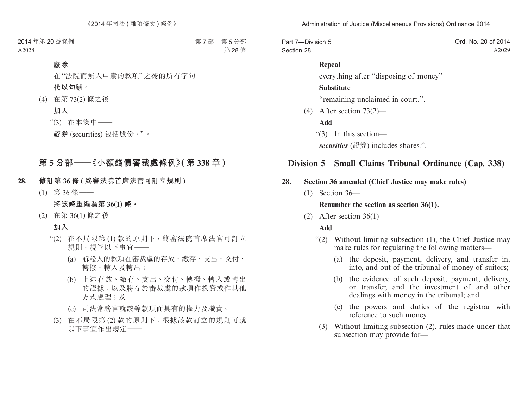| Part 7-Division 5 | Ord. No. 20 of 2014 |
|-------------------|---------------------|
| Section 28        | A2029               |

#### **Repeal**

everything after "disposing of money"

#### **Substitute**

"remaining unclaimed in court.".

(4) After section 73(2)—

**Add**

"(3) In this section—

*securities* (證券) includes shares.".

### **Division 5—Small Claims Tribunal Ordinance (Cap. 338)**

### **28. Section 36 amended (Chief Justice may make rules)**

(1) Section 36—

#### **Renumber the section as section 36(1).**

(2) After section  $36(1)$ —

#### **Add**

- "(2) Without limiting subsection (1), the Chief Justice may make rules for regulating the following matters—
	- (a) the deposit, payment, delivery, and transfer in, into, and out of the tribunal of money of suitors;
	- (b) the evidence of such deposit, payment, delivery, or transfer, and the investment of and other dealings with money in the tribunal; and
	- (c) the powers and duties of the registrar with reference to such money.
	- (3) Without limiting subsection (2), rules made under that subsection may provide for—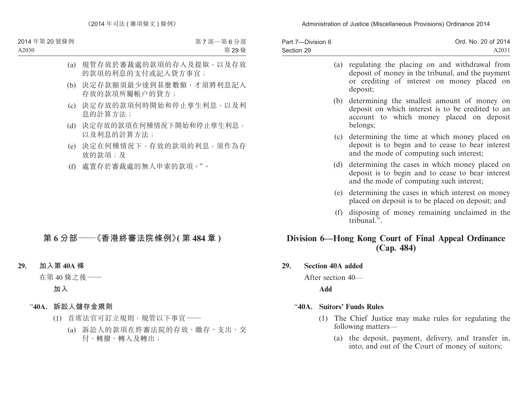| Part 7-Division 6 | Ord. No. 20 of 2014 |
|-------------------|---------------------|
| Section 29        | A2031               |

|     | (a) regulating the placing on and withdrawal from<br>deposit of money in the tribunal, and the payment<br>or crediting of interest on money placed on<br>deposit; |
|-----|-------------------------------------------------------------------------------------------------------------------------------------------------------------------|
|     | (b) determining the smallest amount of money on<br>deposit on which interest is to be credited to an<br>account to which money placed on deposit<br>belongs;      |
|     | (c) determining the time at which money placed on<br>deposit is to begin and to cease to bear interest<br>and the mode of computing such interest;                |
| (d) | determining the cases in which money placed on<br>deposit is to begin and to cease to bear interest<br>and the mode of computing such interest;                   |
| (e) | determining the cases in which interest on money<br>placed on deposit is to be placed on deposit; and                                                             |
| (f) | disposing of money remaining unclaimed in the<br>tribunal"                                                                                                        |

### **Division 6—Hong Kong Court of Final Appeal Ordinance (Cap. 484)**

#### **29. Section 40A added**

After section 40—

**Add**

### "**40A. Suitors' Funds Rules**

- (1) The Chief Justice may make rules for regulating the following matters—
	- (a) the deposit, payment, delivery, and transfer in, into, and out of the Court of money of suitors;